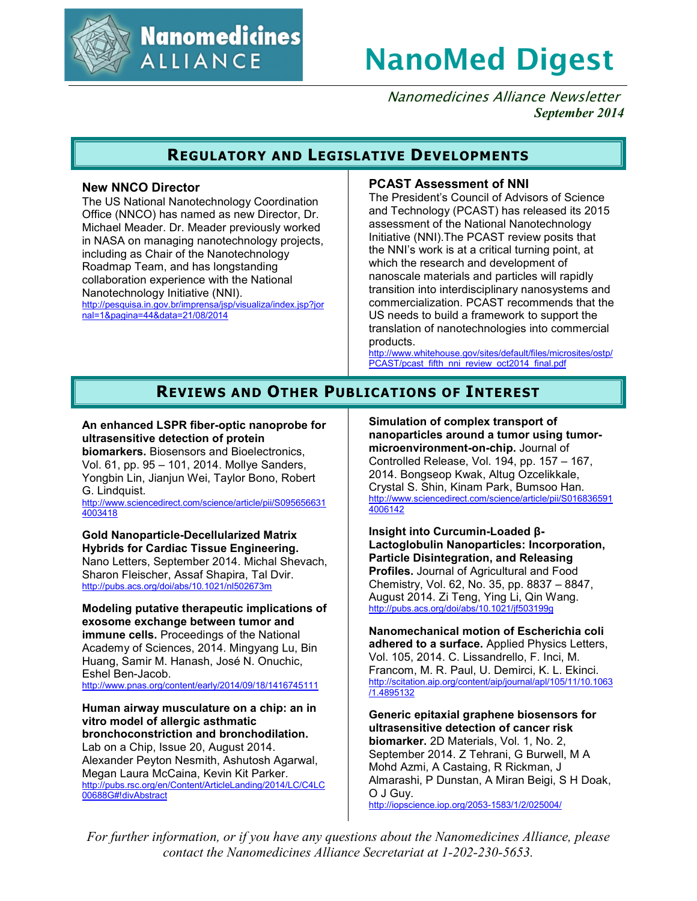

**Nanomedicines ALLIANCE** 

# **NanoMed Digest**

Nanomedicines Alliance Newsletter *September 2014*

# **REGULATORY AND LEGISLATIVE DEVELOPMENTS**

## **New NNCO Director**

The US National Nanotechnology Coordination Office (NNCO) has named as new Director, Dr. Michael Meader. Dr. Meader previously worked in NASA on managing nanotechnology projects, including as Chair of the Nanotechnology Roadmap Team, and has longstanding collaboration experience with the National Nanotechnology Initiative (NNI). http://pesquisa.in.gov.br/imprensa/jsp/visualiza/index.jsp?jor nal=1&pagina=44&data=21/08/2014

### **PCAST Assessment of NNI**

The President's Council of Advisors of Science and Technology (PCAST) has released its 2015 assessment of the National Nanotechnology Initiative (NNI).The PCAST review posits that the NNI's work is at a critical turning point, at which the research and development of nanoscale materials and particles will rapidly transition into interdisciplinary nanosystems and commercialization. PCAST recommends that the US needs to build a framework to support the translation of nanotechnologies into commercial products.

http://www.whitehouse.gov/sites/default/files/microsites/ostp/ PCAST/pcast\_fifth\_nni\_review\_oct2014\_final.pdf

# **REVIEWS AND OTHER PUBLICATIONS OF INTEREST**

## **An enhanced LSPR fiber-optic nanoprobe for ultrasensitive detection of protein**

**biomarkers.** Biosensors and Bioelectronics, Vol. 61, pp. 95 – 101, 2014. Mollye Sanders, Yongbin Lin, Jianjun Wei, Taylor Bono, Robert G. Lindquist.

http://www.sciencedirect.com/science/article/pii/S095656631 4003418

**Gold Nanoparticle-Decellularized Matrix Hybrids for Cardiac Tissue Engineering.** Nano Letters, September 2014. Michal Shevach, Sharon Fleischer, Assaf Shapira, Tal Dvir. http://pubs.acs.org/doi/abs/10.1021/nl502673m

**Modeling putative therapeutic implications of exosome exchange between tumor and immune cells.** Proceedings of the National Academy of Sciences, 2014. Mingyang Lu, Bin Huang, Samir M. Hanash, José N. Onuchic, Eshel Ben-Jacob. http://www.pnas.org/content/early/2014/09/18/1416745111

**Human airway musculature on a chip: an in vitro model of allergic asthmatic bronchoconstriction and bronchodilation.** Lab on a Chip, Issue 20, August 2014. Alexander Peyton Nesmith, Ashutosh Agarwal, Megan Laura McCaina, Kevin Kit Parker. http://pubs.rsc.org/en/Content/ArticleLanding/2014/LC/C4LC 00688G#!divAbstract

**Simulation of complex transport of nanoparticles around a tumor using tumormicroenvironment-on-chip.** Journal of Controlled Release, Vol. 194, pp. 157 – 167, 2014. Bongseop Kwak, Altug Ozcelikkale, Crystal S. Shin, Kinam Park, Bumsoo Han. http://www.sciencedirect.com/science/article/pii/S016836591 4006142

**Insight into Curcumin-Loaded β-Lactoglobulin Nanoparticles: Incorporation, Particle Disintegration, and Releasing Profiles.** Journal of Agricultural and Food Chemistry, Vol. 62, No. 35, pp. 8837 – 8847, August 2014. Zi Teng, Ying Li, Qin Wang. http://pubs.acs.org/doi/abs/10.1021/jf503199g

**Nanomechanical motion of Escherichia coli adhered to a surface.** Applied Physics Letters, Vol. 105, 2014. C. Lissandrello, F. Inci, M. Francom, M. R. Paul, U. Demirci, K. L. Ekinci. http://scitation.aip.org/content/aip/journal/apl/105/11/10.1063 /1.4895132

**Generic epitaxial graphene biosensors for ultrasensitive detection of cancer risk biomarker.** 2D Materials, Vol. 1, No. 2, September 2014. Z Tehrani, G Burwell, M A Mohd Azmi, A Castaing, R Rickman, J Almarashi, P Dunstan, A Miran Beigi, S H Doak, O J Guy.

http://iopscience.iop.org/2053-1583/1/2/025004/

*For further information, or if you have any questions about the Nanomedicines Alliance, please contact the Nanomedicines Alliance Secretariat at 1-202-230-5653.*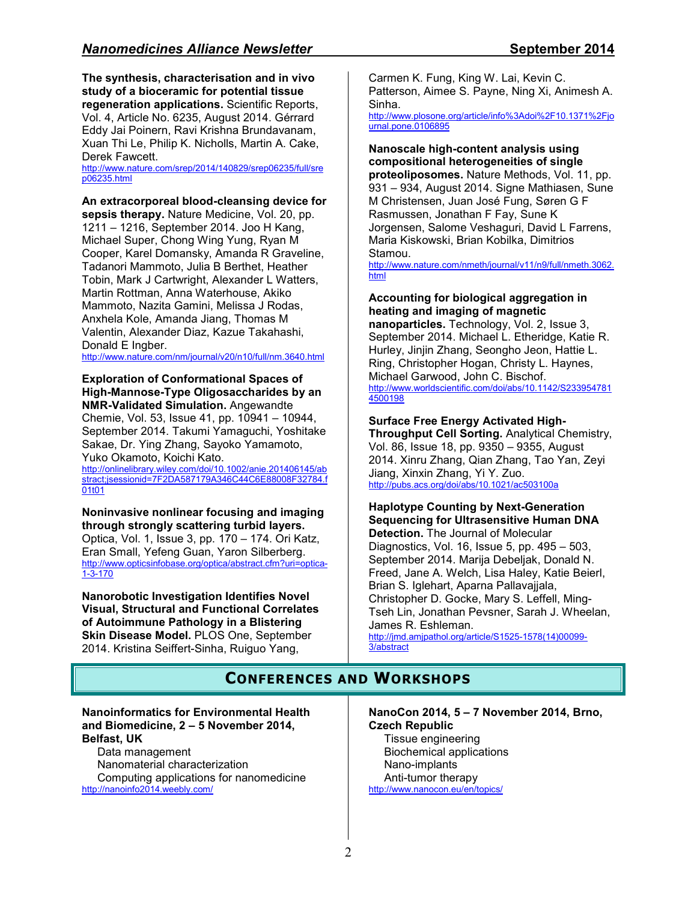**The synthesis, characterisation and in vivo study of a bioceramic for potential tissue regeneration applications.** Scientific Reports, Vol. 4, Article No. 6235, August 2014. Gérrard Eddy Jai Poinern, Ravi Krishna Brundavanam, Xuan Thi Le, Philip K. Nicholls, Martin A. Cake, Derek Fawcett.

http://www.nature.com/srep/2014/140829/srep06235/full/sre p06235.html

**An extracorporeal blood-cleansing device for** 

**sepsis therapy.** Nature Medicine, Vol. 20, pp. 1211 – 1216, September 2014. Joo H Kang, Michael Super, Chong Wing Yung, Ryan M Cooper, Karel Domansky, Amanda R Graveline, Tadanori Mammoto, Julia B Berthet, Heather Tobin, Mark J Cartwright, Alexander L Watters, Martin Rottman, Anna Waterhouse, Akiko Mammoto, Nazita Gamini, Melissa J Rodas, Anxhela Kole, Amanda Jiang, Thomas M Valentin, Alexander Diaz, Kazue Takahashi, Donald E Ingber.

http://www.nature.com/nm/journal/v20/n10/full/nm.3640.html

#### **Exploration of Conformational Spaces of High-Mannose-Type Oligosaccharides by an NMR-Validated Simulation.** Angewandte

Chemie, Vol. 53, Issue 41, pp. 10941 – 10944, September 2014. Takumi Yamaguchi, Yoshitake Sakae, Dr. Ying Zhang, Sayoko Yamamoto, Yuko Okamoto, Koichi Kato.

http://onlinelibrary.wiley.com/doi/10.1002/anie.201406145/ab stract;jsessionid=7F2DA587179A346C44C6E88008F32784.f 01t01

**Noninvasive nonlinear focusing and imaging through strongly scattering turbid layers.** Optica, Vol. 1, Issue 3, pp. 170 – 174. Ori Katz, Eran Small, Yefeng Guan, Yaron Silberberg. http://www.opticsinfobase.org/optica/abstract.cfm?uri=optica-1-3-170

**Nanorobotic Investigation Identifies Novel Visual, Structural and Functional Correlates of Autoimmune Pathology in a Blistering Skin Disease Model.** PLOS One, September 2014. Kristina Seiffert-Sinha, Ruiguo Yang,

Carmen K. Fung, King W. Lai, Kevin C. Patterson, Aimee S. Payne, Ning Xi, Animesh A. Sinha.

http://www.plosone.org/article/info%3Adoi%2F10.1371%2Fjo urnal.pone.0106895

#### **Nanoscale high-content analysis using compositional heterogeneities of single proteoliposomes.** Nature Methods, Vol. 11, pp. 931 – 934, August 2014. Signe Mathiasen, Sune M Christensen, Juan José Fung, Søren G F Rasmussen, Jonathan F Fay, Sune K Jorgensen, Salome Veshaguri, David L Farrens, Maria Kiskowski, Brian Kobilka, Dimitrios Stamou.

http://www.nature.com/nmeth/journal/v11/n9/full/nmeth.3062. html

## **Accounting for biological aggregation in heating and imaging of magnetic**

**nanoparticles.** Technology, Vol. 2, Issue 3, September 2014. Michael L. Etheridge, Katie R. Hurley, Jinjin Zhang, Seongho Jeon, Hattie L. Ring, Christopher Hogan, Christy L. Haynes, Michael Garwood, John C. Bischof. http://www.worldscientific.com/doi/abs/10.1142/S233954781 4500198

## **Surface Free Energy Activated High-**

**Throughput Cell Sorting.** Analytical Chemistry, Vol. 86, Issue 18, pp. 9350 – 9355, August 2014. Xinru Zhang, Qian Zhang, Tao Yan, Zeyi Jiang, Xinxin Zhang, Yi Y. Zuo. http://pubs.acs.org/doi/abs/10.1021/ac503100a

## **Haplotype Counting by Next-Generation Sequencing for Ultrasensitive Human DNA**

**Detection.** The Journal of Molecular Diagnostics, Vol. 16, Issue 5, pp. 495 – 503, September 2014. Marija Debeljak, Donald N. Freed, Jane A. Welch, Lisa Haley, Katie Beierl, Brian S. Iglehart, Aparna Pallavajjala, Christopher D. Gocke, Mary S. Leffell, Ming-Tseh Lin, Jonathan Pevsner, Sarah J. Wheelan, James R. Eshleman. http://jmd.amjpathol.org/article/S1525-1578(14)00099- 3/abstract

# **CONFERENCES AND WORKSHOPS**

#### **Nanoinformatics for Environmental Health and Biomedicine, 2 – 5 November 2014, Belfast, UK**

Data management Nanomaterial characterization Computing applications for nanomedicine http://nanoinfo2014.weebly.com/

**NanoCon 2014, 5 – 7 November 2014, Brno, Czech Republic**  Tissue engineering

Biochemical applications Nano-implants Anti-tumor therapy http://www.nanocon.eu/en/topics/